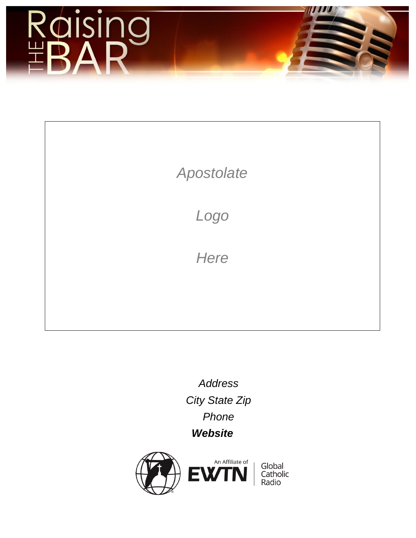

# *Apostolate*

*Logo*

*Here*

*Address City State Zip Phone Website*

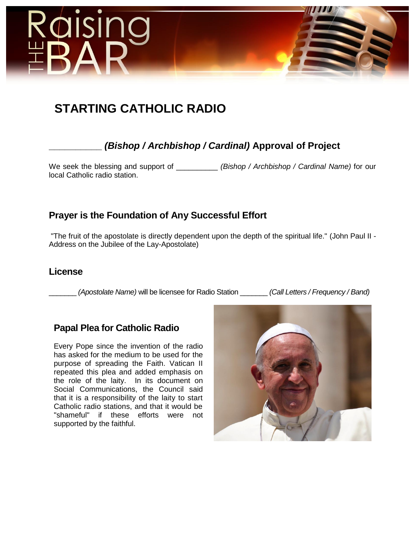

# **STARTING CATHOLIC RADIO**

## **\_\_\_\_\_\_\_\_\_\_** *(Bishop / Archbishop / Cardinal)* **Approval of Project**

We seek the blessing and support of \_\_\_\_\_\_\_\_\_\_ *(Bishop / Archbishop / Cardinal Name)* for our local Catholic radio station.

## **Prayer is the Foundation of Any Successful Effort**

"The fruit of the apostolate is directly dependent upon the depth of the spiritual life." (John Paul II - Address on the Jubilee of the Lay-Apostolate)

### **License**

\_\_\_\_\_\_\_ *(Apostolate Name)* will be licensee for Radio Station \_\_\_\_\_\_\_ *(Call Letters / Frequency / Band)*

### **Papal Plea for Catholic Radio**

Every Pope since the invention of the radio has asked for the medium to be used for the purpose of spreading the Faith. Vatican II repeated this plea and added emphasis on the role of the laity. In its document on Social Communications, the Council said that it is a responsibility of the laity to start Catholic radio stations, and that it would be "shameful" if these efforts were not supported by the faithful.

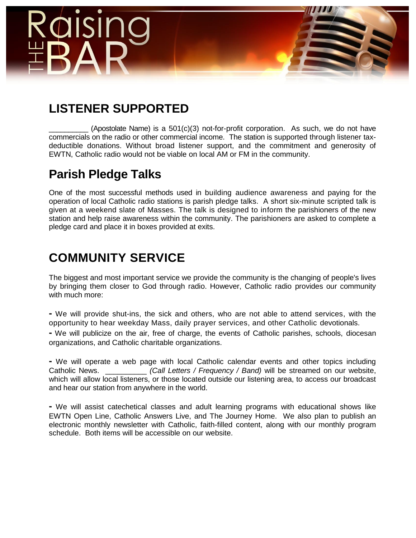

# **LISTENER SUPPORTED**

(Apostolate Name) is a  $501(c)(3)$  not-for-profit corporation. As such, we do not have commercials on the radio or other commercial income. The station is supported through listener taxdeductible donations. Without broad listener support, and the commitment and generosity of EWTN, Catholic radio would not be viable on local AM or FM in the community.

# **Parish Pledge Talks**

One of the most successful methods used in building audience awareness and paying for the operation of local Catholic radio stations is parish pledge talks. A short six-minute scripted talk is given at a weekend slate of Masses. The talk is designed to inform the parishioners of the new station and help raise awareness within the community. The parishioners are asked to complete a pledge card and place it in boxes provided at exits.

# **COMMUNITY SERVICE**

The biggest and most important service we provide the community is the changing of people's lives by bringing them closer to God through radio. However, Catholic radio provides our community with much more:

**-** We will provide shut-ins, the sick and others, who are not able to attend services, with the opportunity to hear weekday Mass, daily prayer services, and other Catholic devotionals.

**-** We will publicize on the air, free of charge, the events of Catholic parishes, schools, diocesan organizations, and Catholic charitable organizations.

**-** We will operate a web page with local Catholic calendar events and other topics including Catholic News. \_\_\_\_\_\_\_\_\_\_ *(Call Letters / Frequency / Band)* will be streamed on our website, which will allow local listeners, or those located outside our listening area, to access our broadcast and hear our station from anywhere in the world.

**-** We will assist catechetical classes and adult learning programs with educational shows like EWTN Open Line, Catholic Answers Live, and The Journey Home. We also plan to publish an electronic monthly newsletter with Catholic, faith-filled content, along with our monthly program schedule. Both items will be accessible on our website.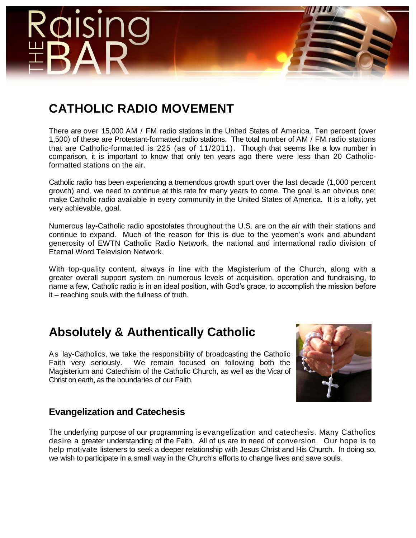

# **CATHOLIC RADIO MOVEMENT**

There are over 15,000 AM / FM radio stations in the United States of America. Ten percent (over 1,500) of these are Protestant-formatted radio stations. The total number of AM / FM radio stations that are Catholic-formatted is 225 (as of 11/2011). Though that seems like a low number in comparison, it is important to know that only ten years ago there were less than 20 Catholicformatted stations on the air.

Catholic radio has been experiencing a tremendous growth spurt over the last decade (1,000 percent growth) and, we need to continue at this rate for many years to come. The goal is an obvious one; make Catholic radio available in every community in the United States of America. It is a lofty, yet very achievable, goal.

Numerous lay-Catholic radio apostolates throughout the U.S. are on the air with their stations and continue to expand. Much of the reason for this is due to the yeomen's work and abundant generosity of EWTN Catholic Radio Network, the national and international radio division of Eternal Word Television Network.

With top-quality content, always in line with the Magisterium of the Church, along with a greater overall support system on numerous levels of acquisition, operation and fundraising, to name a few, Catholic radio is in an ideal position, with God's grace, to accomplish the mission before it – reaching souls with the fullness of truth.

# **Absolutely & Authentically Catholic**

As lay-Catholics, we take the responsibility of broadcasting the Catholic Faith very seriously. We remain focused on following both the Magisterium and Catechism of the Catholic Church, as well as the Vicar of Christ on earth, as the boundaries of our Faith.



## **Evangelization and Catechesis**

The underlying purpose of our programming is evangelization and catechesis. Many Catholics desire a greater understanding of the Faith. All of us are in need of conversion. Our hope is to help motivate listeners to seek a deeper relationship with Jesus Christ and His Church. In doing so, we wish to participate in a small way in the Church's efforts to change lives and save souls.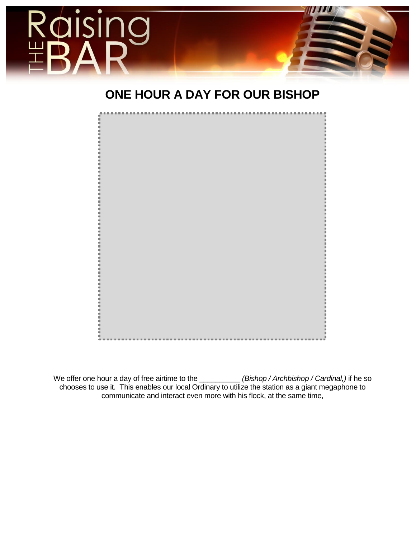

# **ONE HOUR A DAY FOR OUR BISHOP**



We offer one hour a day of free airtime to the \_\_\_\_\_\_\_\_\_\_\_\_ *(Bishop / Archbishop / Cardinal,)* if he so chooses to use it. This enables our local Ordinary to utilize the station as a giant megaphone to communicate and interact even more with his flock, at the same time,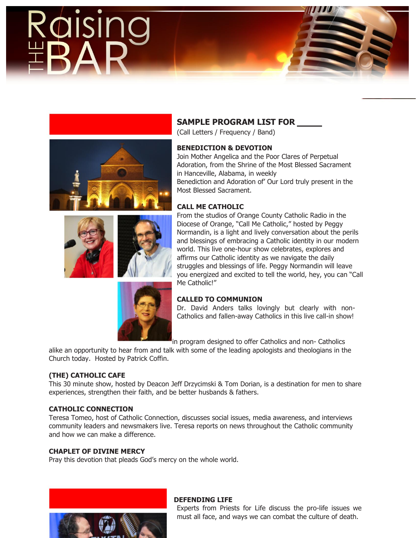

### **SAMPLE PROGRAM LIST FOR**

(Call Letters / Frequency / Band)

### **BENEDICTION & DEVOTION**

Join Mother Angelica and the Poor Clares of Perpetual Adoration, from the Shrine of the Most Blessed Sacrament in Hanceville, Alabama, in weekly Benediction and Adoration of' Our Lord truly present in the Most Blessed Sacrament.

### **CALL ME CATHOLIC**

From the studios of Orange County Catholic Radio in the Diocese of Orange, "Call Me Catholic," hosted by Peggy Normandin, is a light and lively conversation about the perils and blessings of embracing a Catholic identity in our modern world. This live one-hour show celebrates, explores and affirms our Catholic identity as we navigate the daily struggles and blessings of life. Peggy Normandin will leave you energized and excited to tell the world, hey, you can "Call Me Catholic!"

### **CALLED TO COMMUNION**

Dr. David Anders talks lovingly but clearly with non-Catholics and fallen-away Catholics in this live call-in show!

in program designed to offer Catholics and non- Catholics

alike an opportunity to hear from and talk with some of the leading apologists and theologians in the Church today. Hosted by Patrick Coffin.

### **(THE) CATHOLIC CAFE**

This 30 minute show, hosted by Deacon Jeff Drzycimski & Tom Dorian, is a destination for men to share experiences, strengthen their faith, and be better husbands & fathers.

### **CATHOLIC CONNECTION**

Teresa Tomeo, host of Catholic Connection, discusses social issues, media awareness, and interviews community leaders and newsmakers live. Teresa reports on news throughout the Catholic community and how we can make a difference.

### **CHAPLET OF DIVINE MERCY**

Pray this devotion that pleads God's mercy on the whole world.



### **DEFENDING LIFE**

Experts from Priests for Life discuss the pro-life issues we must all face, and ways we can combat the culture of death.

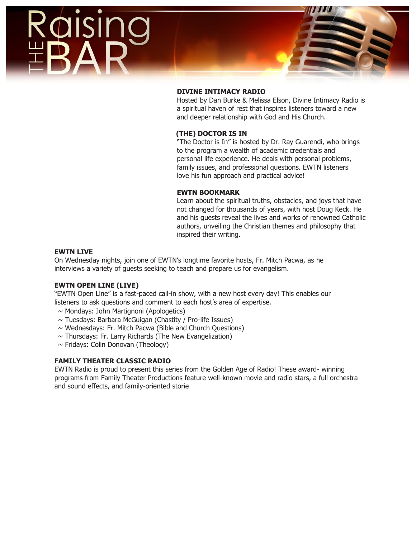

### **DIVINE INTIMACY RADIO**

Hosted by Dan Burke & Melissa Elson, Divine Intimacy Radio is a spiritual haven of rest that inspires listeners toward a new and deeper relationship with God and His Church.

### **(THE) DOCTOR IS IN**

"The Doctor is In" is hosted by Dr. Ray Guarendi, who brings to the program a wealth of academic credentials and personal life experience. He deals with personal problems, family issues, and professional questions. EWTN listeners love his fun approach and practical advice!

### **EWTN BOOKMARK**

Learn about the spiritual truths, obstacles, and joys that have not changed for thousands of years, with host Doug Keck. He and his guests reveal the lives and works of renowned Catholic authors, unveiling the Christian themes and philosophy that inspired their writing.

### **EWTN LIVE**

On Wednesday nights, join one of EWTN's longtime favorite hosts, Fr. Mitch Pacwa, as he interviews a variety of guests seeking to teach and prepare us for evangelism.

### **EWTN OPEN LINE (LIVE)**

"EWTN Open Line" is a fast-paced call-in show, with a new host every day! This enables our listeners to ask questions and comment to each host's area of expertise.

- $\sim$  Mondays: John Martignoni (Apologetics)
- ~ Tuesdays: Barbara McGuigan (Chastity / Pro-life Issues)
- $\sim$  Wednesdays: Fr. Mitch Pacwa (Bible and Church Questions)
- $\sim$  Thursdays: Fr. Larry Richards (The New Evangelization)
- $\sim$  Fridays: Colin Donovan (Theology)

### **FAMILY THEATER CLASSIC RADIO**

EWTN Radio is proud to present this series from the Golden Age of Radio! These award- winning programs from Family Theater Productions feature well-known movie and radio stars, a full orchestra and sound effects, and family-oriented storie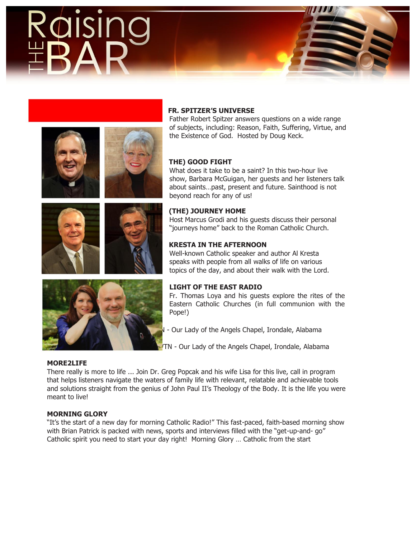# SI



Father Robert Spitzer answers questions on a wide range of subjects, including: Reason, Faith, Suffering, Virtue, and the Existence of God. Hosted by Doug Keck.

### **THE) GOOD FIGHT**

What does it take to be a saint? In this two-hour live show, Barbara McGuigan, her guests and her listeners talk about saints…past, present and future. Sainthood is not beyond reach for any of us!

### **(THE) JOURNEY HOME**

Host Marcus Grodi and his guests discuss their personal "journeys home" back to the Roman Catholic Church.

### **KRESTA IN THE AFTERNOON**

Well-known Catholic speaker and author Al Kresta speaks with people from all walks of life on various topics of the day, and about their walk with the Lord.

### **LIGHT OF THE EAST RADIO**

Fr. Thomas Loya and his guests explore the rites of the Eastern Catholic Churches (in full communion with the Pope!)

- Our Lady of the Angels Chapel, Irondale, Alabama
- **MASS 198 IN ASS (MASS TRAY) MASS FROM EXTIGLE Angles** Chapel, Alabama

### **MORE2LIFE**

There really is more to life ... Join Dr. Greg Popcak and his wife Lisa for this live, call in program that helps listeners navigate the waters of family life with relevant, relatable and achievable tools and solutions straight from the genius of John Paul II's Theology of the Body. It is the life you were meant to live!

### **MORNING GLORY**

"It's the start of a new day for morning Catholic Radio!" This fast-paced, faith-based morning show with Brian Patrick is packed with news, sports and interviews filled with the "get-up-and- go" Catholic spirit you need to start your day right! Morning Glory … Catholic from the start

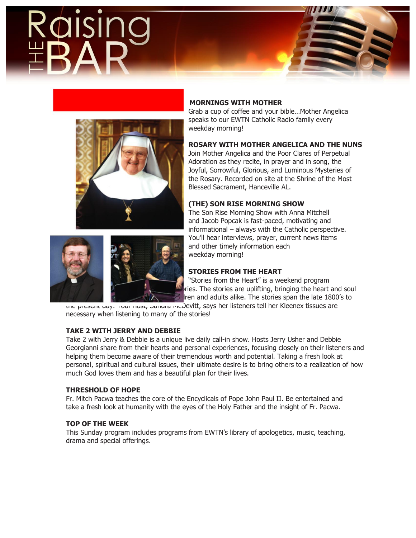



### **MORNINGS WITH MOTHER**

Grab a cup of coffee and your bible…Mother Angelica speaks to our EWTN Catholic Radio family every weekday morning!

### **ROSARY WITH MOTHER ANGELICA AND THE NUNS**

Join Mother Angelica and the Poor Clares of Perpetual Adoration as they recite, in prayer and in song, the Joyful, Sorrowful, Glorious, and Luminous Mysteries of the Rosary. Recorded on site at the Shrine of the Most Blessed Sacrament, Hanceville AL.

### **(THE) SON RISE MORNING SHOW**

The Son Rise Morning Show with Anna Mitchell and Jacob Popcak is fast-paced, motivating and informational – always with the Catholic perspective. You'll hear interviews, prayer, current news items and other timely information each weekday morning!

### **STORIES FROM THE HEART**

"Stories from the Heart" is a weekend program pries. The stories are uplifting, bringing the heart and soul  $\,$  tren and adults alike. The stories span the late 1800's to

une present day. Your nost, Sandra McDevitt, says her listeners tell her Kleenex tissues are necessary when listening to many of the stories!

### **TAKE 2 WITH JERRY AND DEBBIE**

Take 2 with Jerry & Debbie is a unique live daily call-in show. Hosts Jerry Usher and Debbie Georgianni share from their hearts and personal experiences, focusing closely on their listeners and helping them become aware of their tremendous worth and potential. Taking a fresh look at personal, spiritual and cultural issues, their ultimate desire is to bring others to a realization of how much God loves them and has a beautiful plan for their lives.

### **THRESHOLD OF HOPE**

Fr. Mitch Pacwa teaches the core of the Encyclicals of Pope John Paul II. Be entertained and take a fresh look at humanity with the eyes of the Holy Father and the insight of Fr. Pacwa.

### **TOP OF THE WEEK**

This Sunday program includes programs from EWTN's library of apologetics, music, teaching, drama and special offerings.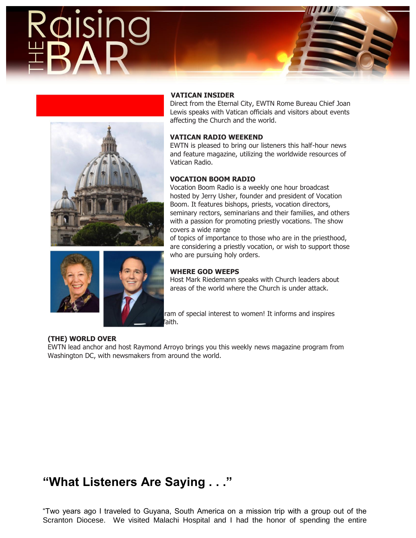# DISIN



### **VATICAN INSIDER**

Direct from the Eternal City, EWTN Rome Bureau Chief Joan Lewis speaks with Vatican officials and visitors about events affecting the Church and the world.

### **VATICAN RADIO WEEKEND**

EWTN is pleased to bring our listeners this half-hour news and feature magazine, utilizing the worldwide resources of Vatican Radio.

### **VOCATION BOOM RADIO**

Vocation Boom Radio is a weekly one hour broadcast hosted by Jerry Usher, founder and president of Vocation Boom. It features bishops, priests, vocation directors, seminary rectors, seminarians and their families, and others with a passion for promoting priestly vocations. The show covers a wide range

of topics of importance to those who are in the priesthood, are considering a priestly vocation, or wish to support those who are pursuing holy orders.

### **WHERE GOD WEEPS**

Host Mark Riedemann speaks with Church leaders about areas of the world where the Church is under attack.

ram of special interest to women! It informs and inspires listeners with the truth of the truth of the truth of the truth of the truth of the truth of the Catholic faith.

### **(THE) WORLD OVER**

**WOMEN OF GRACE** 

EWTN lead anchor and host Raymond Arroyo brings you this weekly news magazine program from Washington DC, with newsmakers from around the world.

# **"What Listeners Are Saying . . ."**

"Two years ago I traveled to Guyana, South America on a mission trip with a group out of the Scranton Diocese. We visited Malachi Hospital and I had the honor of spending the entire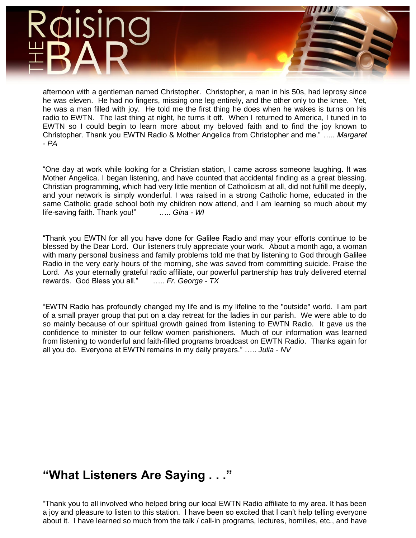# SI

afternoon with a gentleman named Christopher. Christopher, a man in his 50s, had leprosy since he was eleven. He had no fingers, missing one leg entirely, and the other only to the knee. Yet, he was a man filled with joy. He told me the first thing he does when he wakes is turns on his radio to EWTN. The last thing at night, he turns it off. When I returned to America, I tuned in to EWTN so I could begin to learn more about my beloved faith and to find the joy known to Christopher. Thank you EWTN Radio & Mother Angelica from Christopher and me." *….. Margaret - PA*

"One day at work while looking for a Christian station, I came across someone laughing. It was Mother Angelica. I began listening, and have counted that accidental finding as a great blessing. Christian programming, which had very little mention of Catholicism at all, did not fulfill me deeply, and your network is simply wonderful. I was raised in a strong Catholic home, educated in the same Catholic grade school both my children now attend, and I am learning so much about my life-saving faith. Thank you!" ….. *Gina - WI*

"Thank you EWTN for all you have done for Galilee Radio and may your efforts continue to be blessed by the Dear Lord. Our listeners truly appreciate your work. About a month ago, a woman with many personal business and family problems told me that by listening to God through Galilee Radio in the very early hours of the morning, she was saved from committing suicide. Praise the Lord. As your eternally grateful radio affiliate, our powerful partnership has truly delivered eternal rewards. God Bless you all." ….. *Fr. George - TX*

"EWTN Radio has profoundly changed my life and is my lifeline to the "outside" world. I am part of a small prayer group that put on a day retreat for the ladies in our parish. We were able to do so mainly because of our spiritual growth gained from listening to EWTN Radio. It gave us the confidence to minister to our fellow women parishioners. Much of our information was learned from listening to wonderful and faith-filled programs broadcast on EWTN Radio. Thanks again for all you do. Everyone at EWTN remains in my daily prayers." ….. *Julia - NV*

# **"What Listeners Are Saying . . ."**

"Thank you to all involved who helped bring our local EWTN Radio affiliate to my area. It has been a joy and pleasure to listen to this station. I have been so excited that I can't help telling everyone about it. I have learned so much from the talk / call-in programs, lectures, homilies, etc., and have